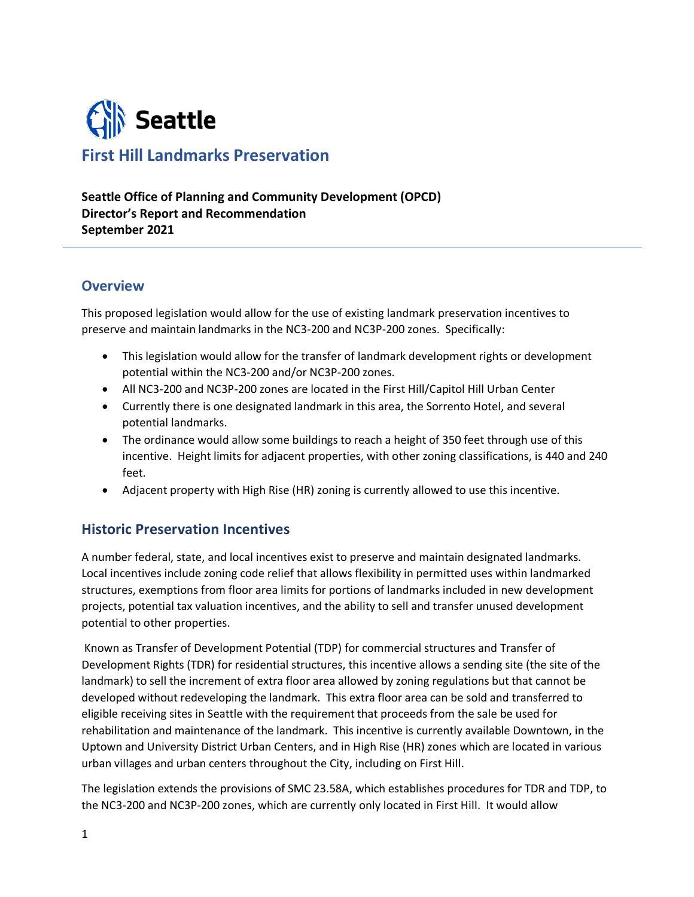

# **First Hill Landmarks Preservation**

**Seattle Office of Planning and Community Development (OPCD) Director's Report and Recommendation September 2021**

### **Overview**

This proposed legislation would allow for the use of existing landmark preservation incentives to preserve and maintain landmarks in the NC3-200 and NC3P-200 zones. Specifically:

- This legislation would allow for the transfer of landmark development rights or development potential within the NC3-200 and/or NC3P-200 zones.
- All NC3-200 and NC3P-200 zones are located in the First Hill/Capitol Hill Urban Center
- Currently there is one designated landmark in this area, the Sorrento Hotel, and several potential landmarks.
- The ordinance would allow some buildings to reach a height of 350 feet through use of this incentive. Height limits for adjacent properties, with other zoning classifications, is 440 and 240 feet.
- Adjacent property with High Rise (HR) zoning is currently allowed to use this incentive.

### **Historic Preservation Incentives**

A number federal, state, and local incentives exist to preserve and maintain designated landmarks. Local incentives include zoning code relief that allows flexibility in permitted uses within landmarked structures, exemptions from floor area limits for portions of landmarks included in new development projects, potential tax valuation incentives, and the ability to sell and transfer unused development potential to other properties.

Known as Transfer of Development Potential (TDP) for commercial structures and Transfer of Development Rights (TDR) for residential structures, this incentive allows a sending site (the site of the landmark) to sell the increment of extra floor area allowed by zoning regulations but that cannot be developed without redeveloping the landmark. This extra floor area can be sold and transferred to eligible receiving sites in Seattle with the requirement that proceeds from the sale be used for rehabilitation and maintenance of the landmark. This incentive is currently available Downtown, in the Uptown and University District Urban Centers, and in High Rise (HR) zones which are located in various urban villages and urban centers throughout the City, including on First Hill.

The legislation extends the provisions of SMC 23.58A, which establishes procedures for TDR and TDP, to the NC3-200 and NC3P-200 zones, which are currently only located in First Hill. It would allow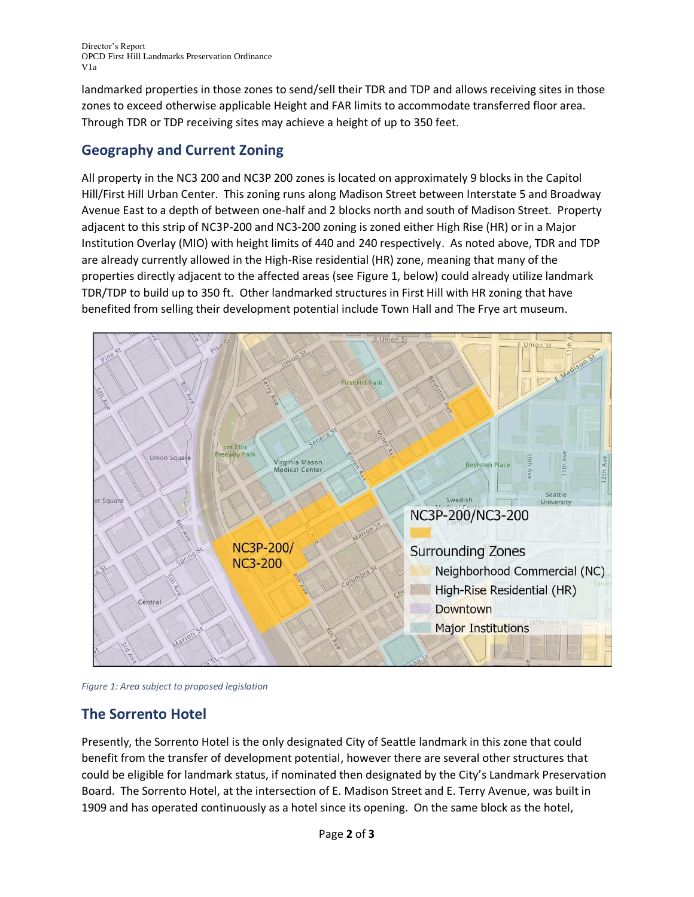Director's Report OPCD First Hill Landmarks Preservation Ordinance V1a

landmarked properties in those zones to send/sell their TDR and TDP and allows receiving sites in those zones to exceed otherwise applicable Height and FAR limits to accommodate transferred floor area. Through TDR or TDP receiving sites may achieve a height of up to 350 feet.

### **Geography and Current Zoning**

All property in the NC3 200 and NC3P 200 zones is located on approximately 9 blocks in the Capitol Hill/First Hill Urban Center. This zoning runs along Madison Street between Interstate 5 and Broadway Avenue East to a depth of between one-half and 2 blocks north and south of Madison Street. Property adjacent to this strip of NC3P-200 and NC3-200 zoning is zoned either High Rise (HR) or in a Major Institution Overlay (MIO) with height limits of 440 and 240 respectively. As noted above, TDR and TDP are already currently allowed in the High-Rise residential (HR) zone, meaning that many of the properties directly adjacent to the affected areas (see Figure 1, below) could already utilize landmark TDR/TDP to build up to 350 ft. Other landmarked structures in First Hill with HR zoning that have benefited from selling their development potential include Town Hall and The Frye art museum.



*Figure 1: Area subject to proposed legislation*

## **The Sorrento Hotel**

Presently, the Sorrento Hotel is the only designated City of Seattle landmark in this zone that could benefit from the transfer of development potential, however there are several other structures that could be eligible for landmark status, if nominated then designated by the City's Landmark Preservation Board. The Sorrento Hotel, at the intersection of E. Madison Street and E. Terry Avenue, was built in 1909 and has operated continuously as a hotel since its opening. On the same block as the hotel,